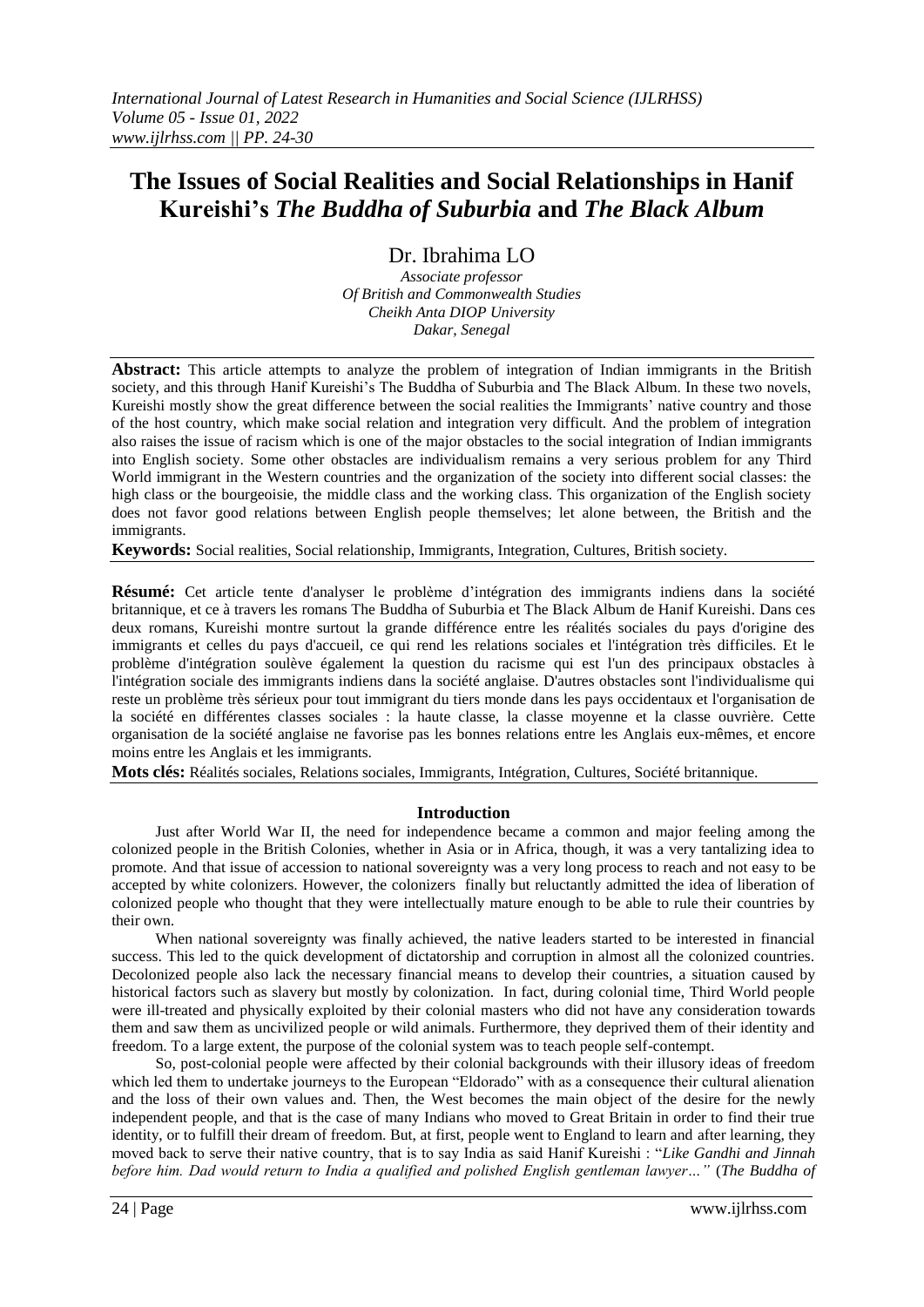# **The Issues of Social Realities and Social Relationships in Hanif Kureishi's** *The Buddha of Suburbia* **and** *The Black Album*

Dr. Ibrahima LO

*Associate professor Of British and Commonwealth Studies Cheikh Anta DIOP University Dakar, Senegal*

**Abstract:** This article attempts to analyze the problem of integration of Indian immigrants in the British society, and this through Hanif Kureishi's The Buddha of Suburbia and The Black Album. In these two novels, Kureishi mostly show the great difference between the social realities the Immigrants' native country and those of the host country, which make social relation and integration very difficult. And the problem of integration also raises the issue of racism which is one of the major obstacles to the social integration of Indian immigrants into English society. Some other obstacles are individualism remains a very serious problem for any Third World immigrant in the Western countries and the organization of the society into different social classes: the high class or the bourgeoisie, the middle class and the working class. This organization of the English society does not favor good relations between English people themselves; let alone between, the British and the immigrants.

**Keywords:** Social realities, Social relationship, Immigrants, Integration, Cultures, British society.

**Résumé:** Cet article tente d'analyser le problème d'intégration des immigrants indiens dans la société britannique, et ce à travers les romans The Buddha of Suburbia et The Black Album de Hanif Kureishi. Dans ces deux romans, Kureishi montre surtout la grande différence entre les réalités sociales du pays d'origine des immigrants et celles du pays d'accueil, ce qui rend les relations sociales et l'intégration très difficiles. Et le problème d'intégration soulève également la question du racisme qui est l'un des principaux obstacles à l'intégration sociale des immigrants indiens dans la société anglaise. D'autres obstacles sont l'individualisme qui reste un problème très sérieux pour tout immigrant du tiers monde dans les pays occidentaux et l'organisation de la société en différentes classes sociales : la haute classe, la classe moyenne et la classe ouvrière. Cette organisation de la société anglaise ne favorise pas les bonnes relations entre les Anglais eux-mêmes, et encore moins entre les Anglais et les immigrants.

**Mots clés:** Réalités sociales, Relations sociales, Immigrants, Intégration, Cultures, Société britannique.

## **Introduction**

Just after World War II, the need for independence became a common and major feeling among the colonized people in the British Colonies, whether in Asia or in Africa, though, it was a very tantalizing idea to promote. And that issue of accession to national sovereignty was a very long process to reach and not easy to be accepted by white colonizers. However, the colonizers finally but reluctantly admitted the idea of liberation of colonized people who thought that they were intellectually mature enough to be able to rule their countries by their own.

When national sovereignty was finally achieved, the native leaders started to be interested in financial success. This led to the quick development of dictatorship and corruption in almost all the colonized countries. Decolonized people also lack the necessary financial means to develop their countries, a situation caused by historical factors such as slavery but mostly by colonization. In fact, during colonial time, Third World people were ill-treated and physically exploited by their colonial masters who did not have any consideration towards them and saw them as uncivilized people or wild animals. Furthermore, they deprived them of their identity and freedom. To a large extent, the purpose of the colonial system was to teach people self-contempt.

So, post-colonial people were affected by their colonial backgrounds with their illusory ideas of freedom which led them to undertake journeys to the European "Eldorado" with as a consequence their cultural alienation and the loss of their own values and. Then, the West becomes the main object of the desire for the newly independent people, and that is the case of many Indians who moved to Great Britain in order to find their true identity, or to fulfill their dream of freedom. But, at first, people went to England to learn and after learning, they moved back to serve their native country, that is to say India as said Hanif Kureishi : "*Like Gandhi and Jinnah before him. Dad would return to India a qualified and polished English gentleman lawyer…"* (*The Buddha of*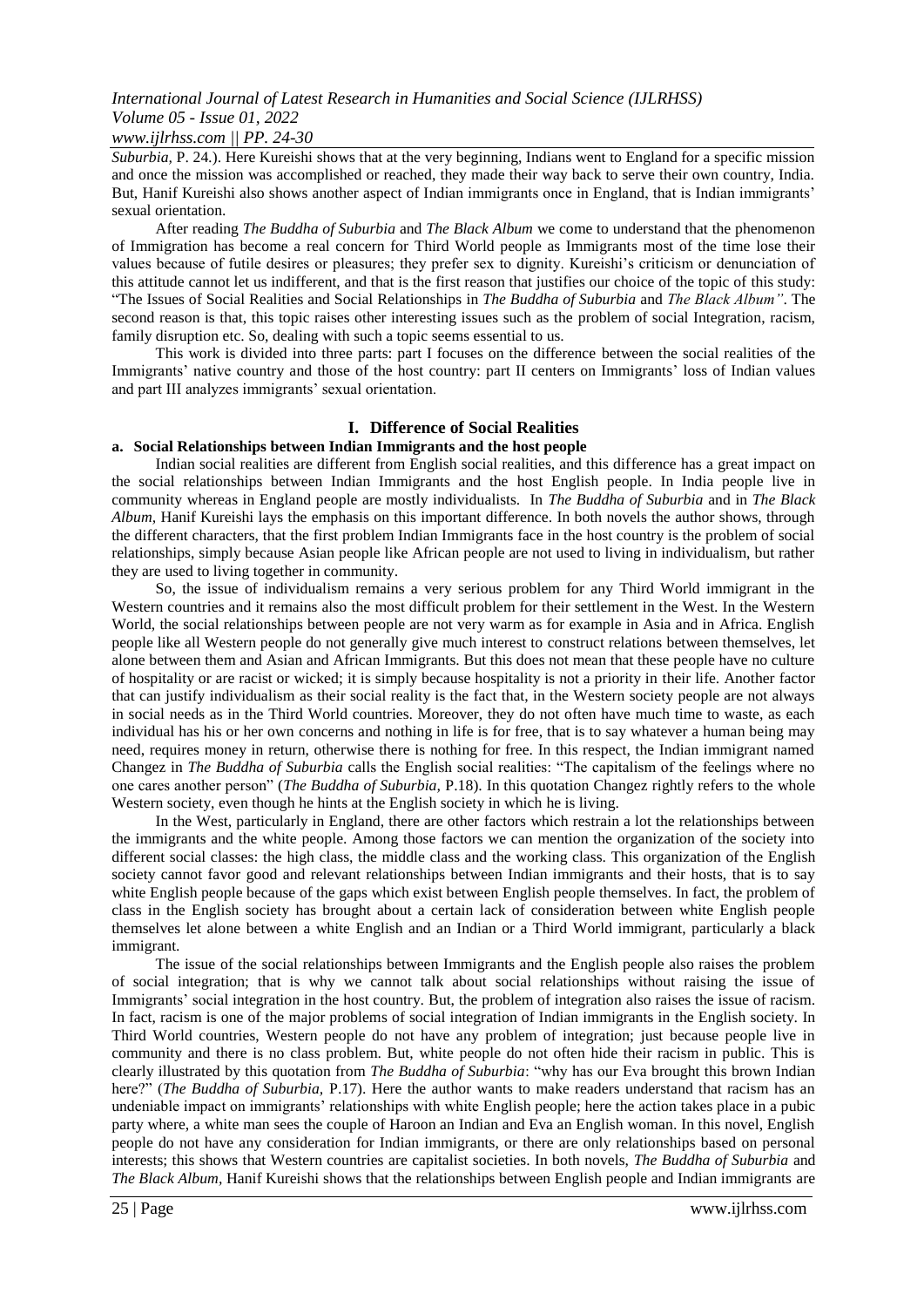# *International Journal of Latest Research in Humanities and Social Science (IJLRHSS) Volume 05 - Issue 01, 2022*

#### *www.ijlrhss.com || PP. 24-30*

*Suburbia,* P. 24*.*). Here Kureishi shows that at the very beginning, Indians went to England for a specific mission and once the mission was accomplished or reached, they made their way back to serve their own country, India. But, Hanif Kureishi also shows another aspect of Indian immigrants once in England, that is Indian immigrants' sexual orientation.

After reading *The Buddha of Suburbia* and *The Black Album* we come to understand that the phenomenon of Immigration has become a real concern for Third World people as Immigrants most of the time lose their values because of futile desires or pleasures; they prefer sex to dignity. Kureishi's criticism or denunciation of this attitude cannot let us indifferent, and that is the first reason that justifies our choice of the topic of this study: "The Issues of Social Realities and Social Relationships in *The Buddha of Suburbia* and *The Black Album"*. The second reason is that, this topic raises other interesting issues such as the problem of social Integration, racism, family disruption etc. So, dealing with such a topic seems essential to us.

This work is divided into three parts: part I focuses on the difference between the social realities of the Immigrants' native country and those of the host country: part II centers on Immigrants' loss of Indian values and part III analyzes immigrants' sexual orientation.

#### **I. Difference of Social Realities**

#### **a. Social Relationships between Indian Immigrants and the host people**

Indian social realities are different from English social realities, and this difference has a great impact on the social relationships between Indian Immigrants and the host English people. In India people live in community whereas in England people are mostly individualists. In *The Buddha of Suburbia* and in *The Black Album,* Hanif Kureishi lays the emphasis on this important difference. In both novels the author shows, through the different characters, that the first problem Indian Immigrants face in the host country is the problem of social relationships, simply because Asian people like African people are not used to living in individualism, but rather they are used to living together in community.

So, the issue of individualism remains a very serious problem for any Third World immigrant in the Western countries and it remains also the most difficult problem for their settlement in the West. In the Western World, the social relationships between people are not very warm as for example in Asia and in Africa. English people like all Western people do not generally give much interest to construct relations between themselves, let alone between them and Asian and African Immigrants. But this does not mean that these people have no culture of hospitality or are racist or wicked; it is simply because hospitality is not a priority in their life. Another factor that can justify individualism as their social reality is the fact that, in the Western society people are not always in social needs as in the Third World countries. Moreover, they do not often have much time to waste, as each individual has his or her own concerns and nothing in life is for free, that is to say whatever a human being may need, requires money in return, otherwise there is nothing for free. In this respect, the Indian immigrant named Changez in *The Buddha of Suburbia* calls the English social realities: "The capitalism of the feelings where no one cares another person" (*The Buddha of Suburbia,* P.18). In this quotation Changez rightly refers to the whole Western society, even though he hints at the English society in which he is living.

In the West, particularly in England, there are other factors which restrain a lot the relationships between the immigrants and the white people. Among those factors we can mention the organization of the society into different social classes: the high class, the middle class and the working class. This organization of the English society cannot favor good and relevant relationships between Indian immigrants and their hosts, that is to say white English people because of the gaps which exist between English people themselves. In fact, the problem of class in the English society has brought about a certain lack of consideration between white English people themselves let alone between a white English and an Indian or a Third World immigrant, particularly a black immigrant.

The issue of the social relationships between Immigrants and the English people also raises the problem of social integration; that is why we cannot talk about social relationships without raising the issue of Immigrants' social integration in the host country. But, the problem of integration also raises the issue of racism. In fact, racism is one of the major problems of social integration of Indian immigrants in the English society. In Third World countries, Western people do not have any problem of integration; just because people live in community and there is no class problem. But, white people do not often hide their racism in public. This is clearly illustrated by this quotation from *The Buddha of Suburbia*: "why has our Eva brought this brown Indian here?" (*The Buddha of Suburbia,* P.17). Here the author wants to make readers understand that racism has an undeniable impact on immigrants' relationships with white English people; here the action takes place in a pubic party where, a white man sees the couple of Haroon an Indian and Eva an English woman. In this novel, English people do not have any consideration for Indian immigrants, or there are only relationships based on personal interests; this shows that Western countries are capitalist societies. In both novels, *The Buddha of Suburbia* and *The Black Album,* Hanif Kureishi shows that the relationships between English people and Indian immigrants are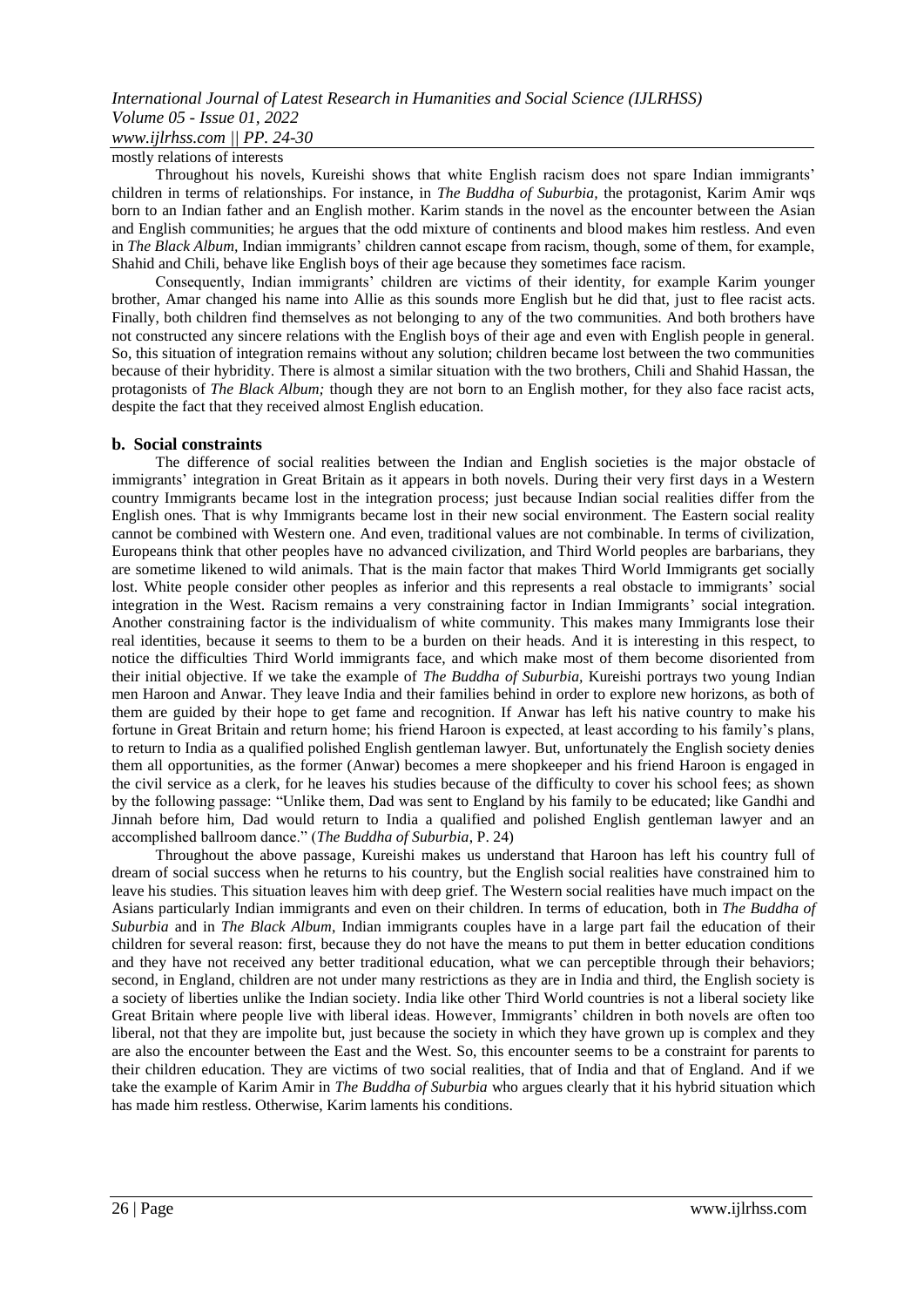## *International Journal of Latest Research in Humanities and Social Science (IJLRHSS) Volume 05 - Issue 01, 2022 www.ijlrhss.com || PP. 24-30*

# mostly relations of interests

Throughout his novels, Kureishi shows that white English racism does not spare Indian immigrants' children in terms of relationships. For instance, in *The Buddha of Suburbia,* the protagonist, Karim Amir wqs born to an Indian father and an English mother. Karim stands in the novel as the encounter between the Asian and English communities; he argues that the odd mixture of continents and blood makes him restless. And even in *The Black Album,* Indian immigrants' children cannot escape from racism, though, some of them, for example, Shahid and Chili, behave like English boys of their age because they sometimes face racism.

Consequently, Indian immigrants' children are victims of their identity, for example Karim younger brother, Amar changed his name into Allie as this sounds more English but he did that, just to flee racist acts. Finally, both children find themselves as not belonging to any of the two communities. And both brothers have not constructed any sincere relations with the English boys of their age and even with English people in general. So, this situation of integration remains without any solution; children became lost between the two communities because of their hybridity. There is almost a similar situation with the two brothers, Chili and Shahid Hassan, the protagonists of *The Black Album;* though they are not born to an English mother, for they also face racist acts, despite the fact that they received almost English education.

#### **b. Social constraints**

The difference of social realities between the Indian and English societies is the major obstacle of immigrants' integration in Great Britain as it appears in both novels. During their very first days in a Western country Immigrants became lost in the integration process; just because Indian social realities differ from the English ones. That is why Immigrants became lost in their new social environment. The Eastern social reality cannot be combined with Western one. And even, traditional values are not combinable. In terms of civilization, Europeans think that other peoples have no advanced civilization, and Third World peoples are barbarians, they are sometime likened to wild animals. That is the main factor that makes Third World Immigrants get socially lost. White people consider other peoples as inferior and this represents a real obstacle to immigrants' social integration in the West. Racism remains a very constraining factor in Indian Immigrants' social integration. Another constraining factor is the individualism of white community. This makes many Immigrants lose their real identities, because it seems to them to be a burden on their heads. And it is interesting in this respect, to notice the difficulties Third World immigrants face, and which make most of them become disoriented from their initial objective. If we take the example of *The Buddha of Suburbia,* Kureishi portrays two young Indian men Haroon and Anwar. They leave India and their families behind in order to explore new horizons, as both of them are guided by their hope to get fame and recognition. If Anwar has left his native country to make his fortune in Great Britain and return home; his friend Haroon is expected, at least according to his family's plans, to return to India as a qualified polished English gentleman lawyer. But, unfortunately the English society denies them all opportunities, as the former (Anwar) becomes a mere shopkeeper and his friend Haroon is engaged in the civil service as a clerk, for he leaves his studies because of the difficulty to cover his school fees; as shown by the following passage: "Unlike them, Dad was sent to England by his family to be educated; like Gandhi and Jinnah before him, Dad would return to India a qualified and polished English gentleman lawyer and an accomplished ballroom dance." (*The Buddha of Suburbia*, P. 24)

Throughout the above passage, Kureishi makes us understand that Haroon has left his country full of dream of social success when he returns to his country, but the English social realities have constrained him to leave his studies. This situation leaves him with deep grief. The Western social realities have much impact on the Asians particularly Indian immigrants and even on their children. In terms of education, both in *The Buddha of Suburbia* and in *The Black Album*, Indian immigrants couples have in a large part fail the education of their children for several reason: first, because they do not have the means to put them in better education conditions and they have not received any better traditional education, what we can perceptible through their behaviors; second, in England, children are not under many restrictions as they are in India and third, the English society is a society of liberties unlike the Indian society. India like other Third World countries is not a liberal society like Great Britain where people live with liberal ideas. However, Immigrants' children in both novels are often too liberal, not that they are impolite but, just because the society in which they have grown up is complex and they are also the encounter between the East and the West. So, this encounter seems to be a constraint for parents to their children education. They are victims of two social realities, that of India and that of England. And if we take the example of Karim Amir in *The Buddha of Suburbia* who argues clearly that it his hybrid situation which has made him restless. Otherwise, Karim laments his conditions.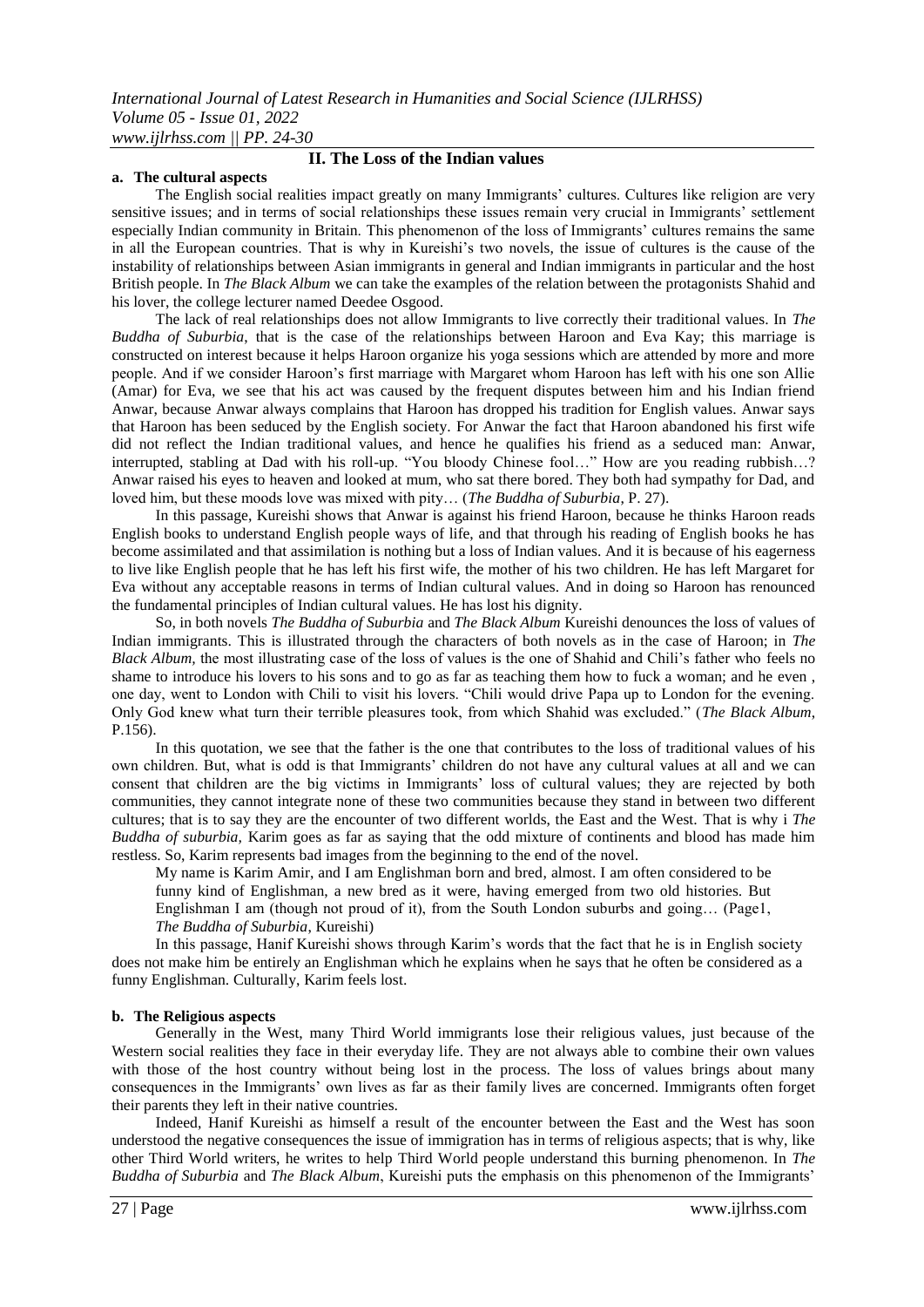#### **a. The cultural aspects**

# **II. The Loss of the Indian values**

The English social realities impact greatly on many Immigrants' cultures. Cultures like religion are very sensitive issues; and in terms of social relationships these issues remain very crucial in Immigrants' settlement especially Indian community in Britain. This phenomenon of the loss of Immigrants' cultures remains the same in all the European countries. That is why in Kureishi's two novels, the issue of cultures is the cause of the instability of relationships between Asian immigrants in general and Indian immigrants in particular and the host British people. In *The Black Album* we can take the examples of the relation between the protagonists Shahid and his lover, the college lecturer named Deedee Osgood.

The lack of real relationships does not allow Immigrants to live correctly their traditional values. In *The Buddha of Suburbia*, that is the case of the relationships between Haroon and Eva Kay; this marriage is constructed on interest because it helps Haroon organize his yoga sessions which are attended by more and more people. And if we consider Haroon's first marriage with Margaret whom Haroon has left with his one son Allie (Amar) for Eva, we see that his act was caused by the frequent disputes between him and his Indian friend Anwar, because Anwar always complains that Haroon has dropped his tradition for English values. Anwar says that Haroon has been seduced by the English society. For Anwar the fact that Haroon abandoned his first wife did not reflect the Indian traditional values, and hence he qualifies his friend as a seduced man: Anwar, interrupted, stabling at Dad with his roll-up. "You bloody Chinese fool…" How are you reading rubbish…? Anwar raised his eyes to heaven and looked at mum, who sat there bored. They both had sympathy for Dad, and loved him, but these moods love was mixed with pity… (*The Buddha of Suburbia*, P. 27).

In this passage, Kureishi shows that Anwar is against his friend Haroon, because he thinks Haroon reads English books to understand English people ways of life, and that through his reading of English books he has become assimilated and that assimilation is nothing but a loss of Indian values. And it is because of his eagerness to live like English people that he has left his first wife, the mother of his two children. He has left Margaret for Eva without any acceptable reasons in terms of Indian cultural values. And in doing so Haroon has renounced the fundamental principles of Indian cultural values. He has lost his dignity.

So, in both novels *The Buddha of Suburbia* and *The Black Album* Kureishi denounces the loss of values of Indian immigrants. This is illustrated through the characters of both novels as in the case of Haroon; in *The Black Album,* the most illustrating case of the loss of values is the one of Shahid and Chili's father who feels no shame to introduce his lovers to his sons and to go as far as teaching them how to fuck a woman; and he even , one day, went to London with Chili to visit his lovers. "Chili would drive Papa up to London for the evening. Only God knew what turn their terrible pleasures took, from which Shahid was excluded." (*The Black Album*, P.156).

In this quotation, we see that the father is the one that contributes to the loss of traditional values of his own children. But, what is odd is that Immigrants' children do not have any cultural values at all and we can consent that children are the big victims in Immigrants' loss of cultural values; they are rejected by both communities, they cannot integrate none of these two communities because they stand in between two different cultures; that is to say they are the encounter of two different worlds, the East and the West. That is why i *The Buddha of suburbia,* Karim goes as far as saying that the odd mixture of continents and blood has made him restless. So, Karim represents bad images from the beginning to the end of the novel.

My name is Karim Amir, and I am Englishman born and bred, almost. I am often considered to be funny kind of Englishman, a new bred as it were, having emerged from two old histories. But Englishman I am (though not proud of it), from the South London suburbs and going… (Page1, *The Buddha of Suburbia*, Kureishi)

In this passage, Hanif Kureishi shows through Karim's words that the fact that he is in English society does not make him be entirely an Englishman which he explains when he says that he often be considered as a funny Englishman. Culturally, Karim feels lost.

#### **b. The Religious aspects**

Generally in the West, many Third World immigrants lose their religious values, just because of the Western social realities they face in their everyday life. They are not always able to combine their own values with those of the host country without being lost in the process. The loss of values brings about many consequences in the Immigrants' own lives as far as their family lives are concerned. Immigrants often forget their parents they left in their native countries.

Indeed, Hanif Kureishi as himself a result of the encounter between the East and the West has soon understood the negative consequences the issue of immigration has in terms of religious aspects; that is why, like other Third World writers, he writes to help Third World people understand this burning phenomenon. In *The Buddha of Suburbia* and *The Black Album*, Kureishi puts the emphasis on this phenomenon of the Immigrants'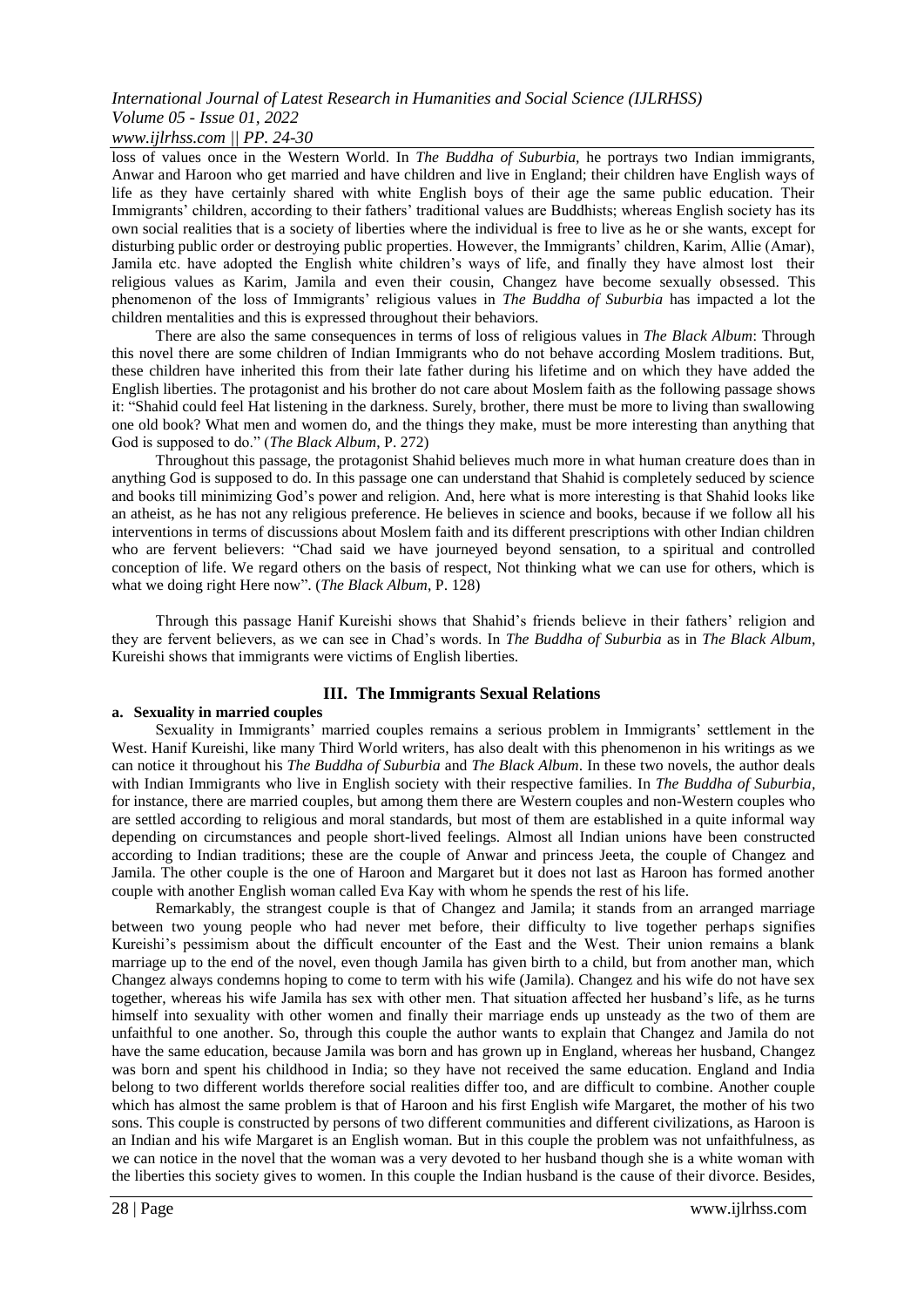# *International Journal of Latest Research in Humanities and Social Science (IJLRHSS) Volume 05 - Issue 01, 2022*

## *www.ijlrhss.com || PP. 24-30*

loss of values once in the Western World. In *The Buddha of Suburbia,* he portrays two Indian immigrants, Anwar and Haroon who get married and have children and live in England; their children have English ways of life as they have certainly shared with white English boys of their age the same public education. Their Immigrants' children, according to their fathers' traditional values are Buddhists; whereas English society has its own social realities that is a society of liberties where the individual is free to live as he or she wants, except for disturbing public order or destroying public properties. However, the Immigrants' children, Karim, Allie (Amar), Jamila etc. have adopted the English white children's ways of life, and finally they have almost lost their religious values as Karim, Jamila and even their cousin, Changez have become sexually obsessed. This phenomenon of the loss of Immigrants' religious values in *The Buddha of Suburbia* has impacted a lot the children mentalities and this is expressed throughout their behaviors.

There are also the same consequences in terms of loss of religious values in *The Black Album*: Through this novel there are some children of Indian Immigrants who do not behave according Moslem traditions. But, these children have inherited this from their late father during his lifetime and on which they have added the English liberties. The protagonist and his brother do not care about Moslem faith as the following passage shows it: "Shahid could feel Hat listening in the darkness. Surely, brother, there must be more to living than swallowing one old book? What men and women do, and the things they make, must be more interesting than anything that God is supposed to do." (*The Black Album*, P. 272)

Throughout this passage, the protagonist Shahid believes much more in what human creature does than in anything God is supposed to do. In this passage one can understand that Shahid is completely seduced by science and books till minimizing God's power and religion. And, here what is more interesting is that Shahid looks like an atheist, as he has not any religious preference. He believes in science and books, because if we follow all his interventions in terms of discussions about Moslem faith and its different prescriptions with other Indian children who are fervent believers: "Chad said we have journeyed beyond sensation, to a spiritual and controlled conception of life. We regard others on the basis of respect, Not thinking what we can use for others, which is what we doing right Here now". (*The Black Album*, P. 128)

Through this passage Hanif Kureishi shows that Shahid's friends believe in their fathers' religion and they are fervent believers, as we can see in Chad's words. In *The Buddha of Suburbia* as in *The Black Album*, Kureishi shows that immigrants were victims of English liberties.

## **III. The Immigrants Sexual Relations**

#### **a. Sexuality in married couples**

Sexuality in Immigrants' married couples remains a serious problem in Immigrants' settlement in the West. Hanif Kureishi, like many Third World writers, has also dealt with this phenomenon in his writings as we can notice it throughout his *The Buddha of Suburbia* and *The Black Album*. In these two novels, the author deals with Indian Immigrants who live in English society with their respective families. In *The Buddha of Suburbia,* for instance, there are married couples, but among them there are Western couples and non-Western couples who are settled according to religious and moral standards, but most of them are established in a quite informal way depending on circumstances and people short-lived feelings. Almost all Indian unions have been constructed according to Indian traditions; these are the couple of Anwar and princess Jeeta, the couple of Changez and Jamila. The other couple is the one of Haroon and Margaret but it does not last as Haroon has formed another couple with another English woman called Eva Kay with whom he spends the rest of his life.

Remarkably, the strangest couple is that of Changez and Jamila; it stands from an arranged marriage between two young people who had never met before, their difficulty to live together perhaps signifies Kureishi's pessimism about the difficult encounter of the East and the West. Their union remains a blank marriage up to the end of the novel, even though Jamila has given birth to a child, but from another man, which Changez always condemns hoping to come to term with his wife (Jamila). Changez and his wife do not have sex together, whereas his wife Jamila has sex with other men. That situation affected her husband's life, as he turns himself into sexuality with other women and finally their marriage ends up unsteady as the two of them are unfaithful to one another. So, through this couple the author wants to explain that Changez and Jamila do not have the same education, because Jamila was born and has grown up in England, whereas her husband, Changez was born and spent his childhood in India; so they have not received the same education. England and India belong to two different worlds therefore social realities differ too, and are difficult to combine. Another couple which has almost the same problem is that of Haroon and his first English wife Margaret, the mother of his two sons. This couple is constructed by persons of two different communities and different civilizations, as Haroon is an Indian and his wife Margaret is an English woman. But in this couple the problem was not unfaithfulness, as we can notice in the novel that the woman was a very devoted to her husband though she is a white woman with the liberties this society gives to women. In this couple the Indian husband is the cause of their divorce. Besides,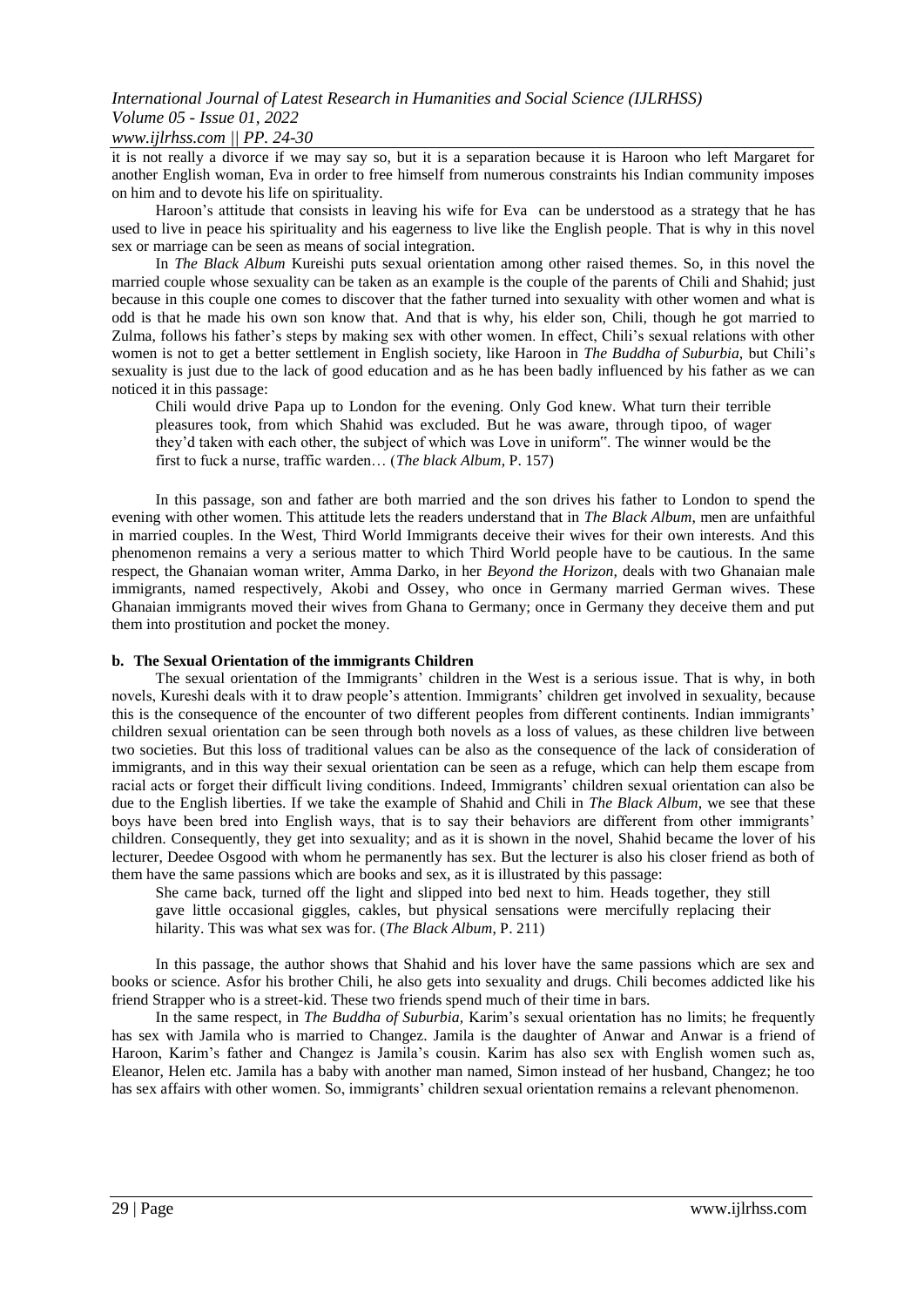# *International Journal of Latest Research in Humanities and Social Science (IJLRHSS) Volume 05 - Issue 01, 2022*

# *www.ijlrhss.com || PP. 24-30*

it is not really a divorce if we may say so, but it is a separation because it is Haroon who left Margaret for another English woman, Eva in order to free himself from numerous constraints his Indian community imposes on him and to devote his life on spirituality.

Haroon's attitude that consists in leaving his wife for Eva can be understood as a strategy that he has used to live in peace his spirituality and his eagerness to live like the English people. That is why in this novel sex or marriage can be seen as means of social integration.

In *The Black Album* Kureishi puts sexual orientation among other raised themes. So, in this novel the married couple whose sexuality can be taken as an example is the couple of the parents of Chili and Shahid; just because in this couple one comes to discover that the father turned into sexuality with other women and what is odd is that he made his own son know that. And that is why, his elder son, Chili, though he got married to Zulma, follows his father's steps by making sex with other women. In effect, Chili's sexual relations with other women is not to get a better settlement in English society, like Haroon in *The Buddha of Suburbia,* but Chili's sexuality is just due to the lack of good education and as he has been badly influenced by his father as we can noticed it in this passage:

Chili would drive Papa up to London for the evening. Only God knew. What turn their terrible pleasures took, from which Shahid was excluded. But he was aware, through tipoo, of wager they'd taken with each other, the subject of which was Love in uniform". The winner would be the first to fuck a nurse, traffic warden… (*The black Album*, P. 157)

In this passage, son and father are both married and the son drives his father to London to spend the evening with other women. This attitude lets the readers understand that in *The Black Album*, men are unfaithful in married couples. In the West, Third World Immigrants deceive their wives for their own interests. And this phenomenon remains a very a serious matter to which Third World people have to be cautious. In the same respect, the Ghanaian woman writer, Amma Darko, in her *Beyond the Horizon,* deals with two Ghanaian male immigrants, named respectively, Akobi and Ossey, who once in Germany married German wives. These Ghanaian immigrants moved their wives from Ghana to Germany; once in Germany they deceive them and put them into prostitution and pocket the money.

#### **b. The Sexual Orientation of the immigrants Children**

The sexual orientation of the Immigrants' children in the West is a serious issue. That is why, in both novels, Kureshi deals with it to draw people's attention. Immigrants' children get involved in sexuality, because this is the consequence of the encounter of two different peoples from different continents. Indian immigrants' children sexual orientation can be seen through both novels as a loss of values, as these children live between two societies. But this loss of traditional values can be also as the consequence of the lack of consideration of immigrants, and in this way their sexual orientation can be seen as a refuge, which can help them escape from racial acts or forget their difficult living conditions. Indeed, Immigrants' children sexual orientation can also be due to the English liberties. If we take the example of Shahid and Chili in *The Black Album,* we see that these boys have been bred into English ways, that is to say their behaviors are different from other immigrants' children. Consequently, they get into sexuality; and as it is shown in the novel, Shahid became the lover of his lecturer, Deedee Osgood with whom he permanently has sex. But the lecturer is also his closer friend as both of them have the same passions which are books and sex, as it is illustrated by this passage:

She came back, turned off the light and slipped into bed next to him. Heads together, they still gave little occasional giggles, cakles, but physical sensations were mercifully replacing their hilarity. This was what sex was for. (*The Black Album*, P. 211)

In this passage, the author shows that Shahid and his lover have the same passions which are sex and books or science. Asfor his brother Chili, he also gets into sexuality and drugs. Chili becomes addicted like his friend Strapper who is a street-kid. These two friends spend much of their time in bars.

In the same respect, in *The Buddha of Suburbia,* Karim's sexual orientation has no limits; he frequently has sex with Jamila who is married to Changez. Jamila is the daughter of Anwar and Anwar is a friend of Haroon, Karim's father and Changez is Jamila's cousin. Karim has also sex with English women such as, Eleanor, Helen etc. Jamila has a baby with another man named, Simon instead of her husband, Changez; he too has sex affairs with other women. So, immigrants' children sexual orientation remains a relevant phenomenon.